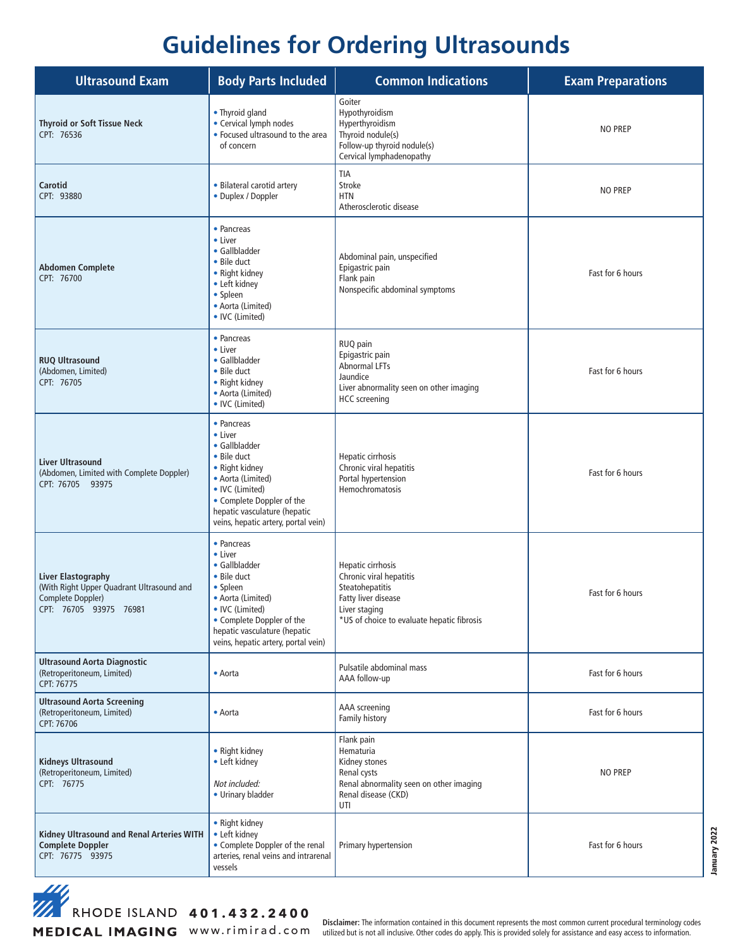## **Guidelines for Ordering Ultrasounds**

| <b>Ultrasound Exam</b>                                                                                         | <b>Body Parts Included</b>                                                                                                                                                                                          | <b>Common Indications</b>                                                                                                                             | <b>Exam Preparations</b> |
|----------------------------------------------------------------------------------------------------------------|---------------------------------------------------------------------------------------------------------------------------------------------------------------------------------------------------------------------|-------------------------------------------------------------------------------------------------------------------------------------------------------|--------------------------|
| <b>Thyroid or Soft Tissue Neck</b><br>CPT: 76536                                                               | • Thyroid gland<br>• Cervical lymph nodes<br>• Focused ultrasound to the area<br>of concern                                                                                                                         | Goiter<br>Hypothyroidism<br>Hyperthyroidism<br>Thyroid nodule(s)<br>Follow-up thyroid nodule(s)<br>Cervical lymphadenopathy                           | <b>NO PREP</b>           |
| Carotid<br>CPT: 93880                                                                                          | • Bilateral carotid artery<br>• Duplex / Doppler                                                                                                                                                                    | <b>TIA</b><br>Stroke<br><b>HTN</b><br>Atherosclerotic disease                                                                                         | <b>NO PREP</b>           |
| <b>Abdomen Complete</b><br>CPT: 76700                                                                          | • Pancreas<br>• Liver<br>• Gallbladder<br>• Bile duct<br>• Right kidney<br>• Left kidney<br>• Spleen<br>• Aorta (Limited)<br>• IVC (Limited)                                                                        | Abdominal pain, unspecified<br>Epigastric pain<br>Flank pain<br>Nonspecific abdominal symptoms                                                        | Fast for 6 hours         |
| <b>RUQ Ultrasound</b><br>(Abdomen, Limited)<br>CPT: 76705                                                      | • Pancreas<br>• Liver<br>• Gallbladder<br>• Bile duct<br>• Right kidney<br>• Aorta (Limited)<br>• IVC (Limited)                                                                                                     | RUQ pain<br>Epigastric pain<br><b>Abnormal LFTs</b><br>Jaundice<br>Liver abnormality seen on other imaging<br><b>HCC</b> screening                    | Fast for 6 hours         |
| <b>Liver Ultrasound</b><br>(Abdomen, Limited with Complete Doppler)<br>CPT: 76705 93975                        | • Pancreas<br>• Liver<br>• Gallbladder<br>• Bile duct<br>• Right kidney<br>• Aorta (Limited)<br>• IVC (Limited)<br>• Complete Doppler of the<br>hepatic vasculature (hepatic<br>veins, hepatic artery, portal vein) | Hepatic cirrhosis<br>Chronic viral hepatitis<br>Portal hypertension<br><b>Hemochromatosis</b>                                                         | Fast for 6 hours         |
| Liver Elastography<br>(With Right Upper Quadrant Ultrasound and<br>Complete Doppler)<br>CPT: 76705 93975 76981 | • Pancreas<br>• Liver<br>• Gallbladder<br>• Bile duct<br>• Spleen<br>• Aorta (Limited)<br>• IVC (Limited)<br>• Complete Doppler of the<br>hepatic vasculature (hepatic<br>veins, hepatic artery, portal vein)       | Hepatic cirrhosis<br>Chronic viral hepatitis<br>Steatohepatitis<br>Fatty liver disease<br>Liver staging<br>*US of choice to evaluate hepatic fibrosis | Fast for 6 hours         |
| <b>Ultrasound Aorta Diagnostic</b><br>(Retroperitoneum, Limited)<br>CPT: 76775                                 | • Aorta                                                                                                                                                                                                             | Pulsatile abdominal mass<br>AAA follow-up                                                                                                             | Fast for 6 hours         |
| <b>Ultrasound Aorta Screening</b><br>(Retroperitoneum, Limited)<br>CPT: 76706                                  | • Aorta                                                                                                                                                                                                             | AAA screening<br>Family history                                                                                                                       | Fast for 6 hours         |
| <b>Kidneys Ultrasound</b><br>(Retroperitoneum, Limited)<br>CPT: 76775                                          | • Right kidney<br>• Left kidney<br>Not included:<br>• Urinary bladder                                                                                                                                               | Flank pain<br>Hematuria<br>Kidney stones<br>Renal cysts<br>Renal abnormality seen on other imaging<br>Renal disease (CKD)<br>UTI                      | <b>NO PREP</b>           |
| Kidney Ultrasound and Renal Arteries WITH<br><b>Complete Doppler</b><br>CPT: 76775 93975                       | • Right kidney<br>• Left kidney<br>• Complete Doppler of the renal<br>arteries, renal veins and intrarenal<br>vessels                                                                                               | Primary hypertension                                                                                                                                  | Fast for 6 hours         |

**401.432.2400**<br>AHODE ISLAND 401.432.2400

Disclaimer: The information contained in this document represents the most common current procedural terminology codes<br>WWW. r i m i r a d . C O m utilized but is not all inclusive. Other codes do apply. This is provided so

January 2022 January 2022